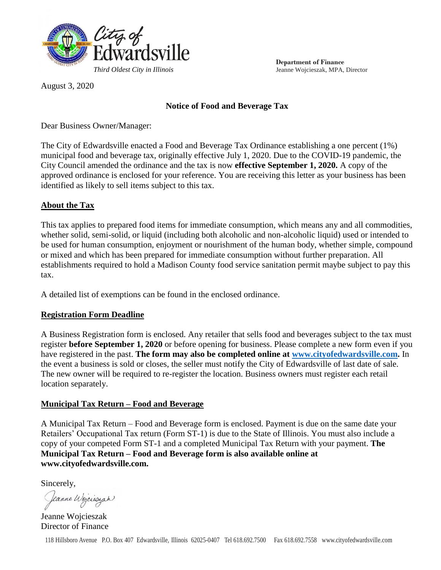

**Department of Finance** Jeanne Wojcieszak, MPA, Director

August 3, 2020

## **Notice of Food and Beverage Tax**

Dear Business Owner/Manager:

The City of Edwardsville enacted a Food and Beverage Tax Ordinance establishing a one percent (1%) municipal food and beverage tax, originally effective July 1, 2020. Due to the COVID-19 pandemic, the City Council amended the ordinance and the tax is now **effective September 1, 2020.** A copy of the approved ordinance is enclosed for your reference. You are receiving this letter as your business has been identified as likely to sell items subject to this tax.

# **About the Tax**

This tax applies to prepared food items for immediate consumption, which means any and all commodities, whether solid, semi-solid, or liquid (including both alcoholic and non-alcoholic liquid) used or intended to be used for human consumption, enjoyment or nourishment of the human body, whether simple, compound or mixed and which has been prepared for immediate consumption without further preparation. All establishments required to hold a Madison County food service sanitation permit maybe subject to pay this tax.

A detailed list of exemptions can be found in the enclosed ordinance.

# **Registration Form Deadline**

A Business Registration form is enclosed. Any retailer that sells food and beverages subject to the tax must register **before September 1, 2020** or before opening for business. Please complete a new form even if you have registered in the past. **The form may also be completed online at [www.cityofedwardsville.com.](http://www.cityofedwardsville.com/)** In the event a business is sold or closes, the seller must notify the City of Edwardsville of last date of sale. The new owner will be required to re-register the location. Business owners must register each retail location separately.

# **Municipal Tax Return – Food and Beverage**

A Municipal Tax Return – Food and Beverage form is enclosed. Payment is due on the same date your Retailers' Occupational Tax return (Form ST-1) is due to the State of Illinois. You must also include a copy of your competed Form ST-1 and a completed Municipal Tax Return with your payment. **The Municipal Tax Return – Food and Beverage form is also available online at www.cityofedwardsville.com.**

Sincerely,

Jeanne Wojcieszan

Jeanne Wojcieszak Director of Finance

118 Hillsboro Avenue P.O. Box 407 Edwardsville, Illinois 62025-0407 Tel 618.692.7500 Fax 618.692.7558 [www.cityofedwardsville.com](http://www.cityofedwardsville.com/)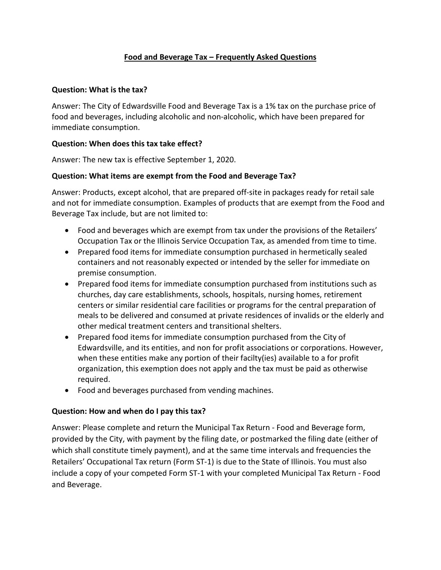## **Food and Beverage Tax – Frequently Asked Questions**

#### **Question: What is the tax?**

Answer: The City of Edwardsville Food and Beverage Tax is a 1% tax on the purchase price of food and beverages, including alcoholic and non-alcoholic, which have been prepared for immediate consumption.

#### **Question: When does this tax take effect?**

Answer: The new tax is effective September 1, 2020.

#### **Question: What items are exempt from the Food and Beverage Tax?**

Answer: Products, except alcohol, that are prepared off-site in packages ready for retail sale and not for immediate consumption. Examples of products that are exempt from the Food and Beverage Tax include, but are not limited to:

- Food and beverages which are exempt from tax under the provisions of the Retailers' Occupation Tax or the Illinois Service Occupation Tax, as amended from time to time.
- Prepared food items for immediate consumption purchased in hermetically sealed containers and not reasonably expected or intended by the seller for immediate on premise consumption.
- Prepared food items for immediate consumption purchased from institutions such as churches, day care establishments, schools, hospitals, nursing homes, retirement centers or similar residential care facilities or programs for the central preparation of meals to be delivered and consumed at private residences of invalids or the elderly and other medical treatment centers and transitional shelters.
- Prepared food items for immediate consumption purchased from the City of Edwardsville, and its entities, and non for profit associations or corporations. However, when these entities make any portion of their facilty(ies) available to a for profit organization, this exemption does not apply and the tax must be paid as otherwise required.
- Food and beverages purchased from vending machines.

### **Question: How and when do I pay this tax?**

Answer: Please complete and return the Municipal Tax Return - Food and Beverage form, provided by the City, with payment by the filing date, or postmarked the filing date (either of which shall constitute timely payment), and at the same time intervals and frequencies the Retailers' Occupational Tax return (Form ST-1) is due to the State of Illinois. You must also include a copy of your competed Form ST-1 with your completed Municipal Tax Return - Food and Beverage.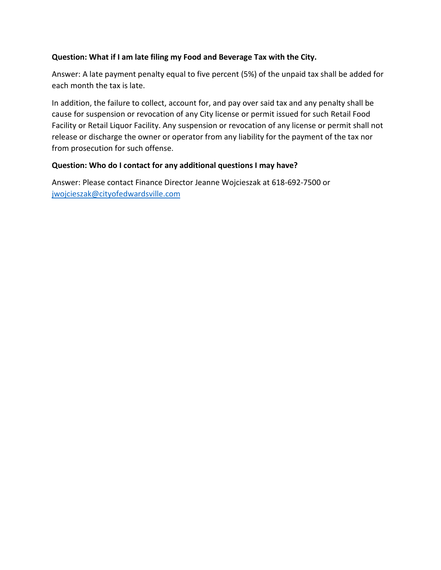#### **Question: What if I am late filing my Food and Beverage Tax with the City.**

Answer: A late payment penalty equal to five percent (5%) of the unpaid tax shall be added for each month the tax is late.

In addition, the failure to collect, account for, and pay over said tax and any penalty shall be cause for suspension or revocation of any City license or permit issued for such Retail Food Facility or Retail Liquor Facility. Any suspension or revocation of any license or permit shall not release or discharge the owner or operator from any liability for the payment of the tax nor from prosecution for such offense.

#### **Question: Who do I contact for any additional questions I may have?**

Answer: Please contact Finance Director Jeanne Wojcieszak at 618-692-7500 or jwojcieszak@cityofedwardsville.com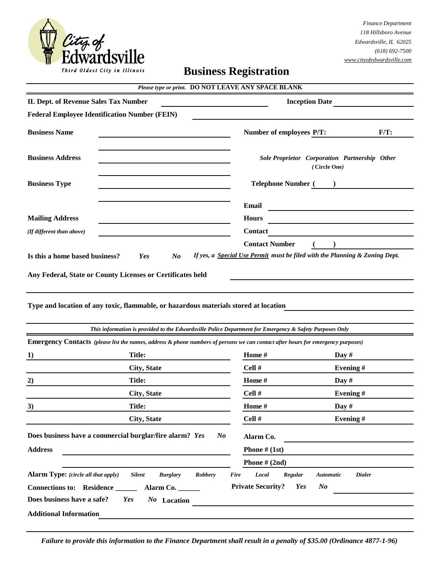

*Finance Department 118 Hillsboro Avenue Edwardsville, IL 62025 (618) 692-7500 [www.cityof](http://www.cityofedwardsville.com/#)edwardsville.com*

# **Business Registration**

|                                                      |                                                                                                                                                    | Please type or print. DO NOT LEAVE ANY SPACE BLANK                          |                                                                                                                      |         |  |
|------------------------------------------------------|----------------------------------------------------------------------------------------------------------------------------------------------------|-----------------------------------------------------------------------------|----------------------------------------------------------------------------------------------------------------------|---------|--|
| IL Dept. of Revenue Sales Tax Number                 |                                                                                                                                                    |                                                                             | <b>Inception Date</b>                                                                                                |         |  |
| <b>Federal Employee Identification Number (FEIN)</b> |                                                                                                                                                    |                                                                             |                                                                                                                      |         |  |
| <b>Business Name</b>                                 |                                                                                                                                                    | Number of employees P/T:                                                    |                                                                                                                      | $F/T$ : |  |
| <b>Business Address</b>                              |                                                                                                                                                    |                                                                             | Sole Proprietor Corporation Partnership Other<br>(Circle One)                                                        |         |  |
| <b>Business Type</b>                                 |                                                                                                                                                    | <b>Telephone Number</b> ( )                                                 |                                                                                                                      |         |  |
|                                                      |                                                                                                                                                    | Email                                                                       | <u> 1989 - Johann Barn, mars eta bainar eta bainar eta baina eta baina eta baina eta baina eta baina eta baina e</u> |         |  |
| <b>Mailing Address</b>                               |                                                                                                                                                    | <b>Hours</b>                                                                | the control of the control of the control of the control of the control of the control of                            |         |  |
| (If different than above)                            |                                                                                                                                                    | Contact                                                                     |                                                                                                                      |         |  |
|                                                      |                                                                                                                                                    | <b>Contact Number</b>                                                       |                                                                                                                      |         |  |
| Is this a home based business?                       | Yes<br>$\mathbf{N}\boldsymbol{o}$                                                                                                                  | If yes, a Special Use Permit must be filed with the Planning & Zoning Dept. |                                                                                                                      |         |  |
|                                                      | Any Federal, State or County Licenses or Certificates held<br>Type and location of any toxic, flammable, or hazardous materials stored at location |                                                                             |                                                                                                                      |         |  |
|                                                      | This information is provided to the Edwardsville Police Department for Emergency & Safety Purposes Only                                            |                                                                             |                                                                                                                      |         |  |
|                                                      | Emergency Contacts (please list the names, address & phone numbers of persons we can contact after hours for emergency purposes)                   |                                                                             |                                                                                                                      |         |  |
| 1)                                                   | Title:                                                                                                                                             | Home #                                                                      | Day $#$                                                                                                              |         |  |
|                                                      | <b>City, State</b>                                                                                                                                 | Cell #                                                                      | Evening #                                                                                                            |         |  |
| 2)                                                   | <b>Title:</b>                                                                                                                                      | Home #                                                                      | Day $#$                                                                                                              |         |  |
|                                                      | <b>City, State</b>                                                                                                                                 | Cell #                                                                      | Evening#                                                                                                             |         |  |
| 3)                                                   | Title:                                                                                                                                             | Home #                                                                      | Day $#$                                                                                                              |         |  |
|                                                      | City, State                                                                                                                                        | Cell #                                                                      | Evening #                                                                                                            |         |  |
|                                                      | Does business have a commercial burglar/fire alarm? Yes                                                                                            | $\bm{N}$<br>Alarm Co.                                                       |                                                                                                                      |         |  |
| <b>Address</b>                                       | the control of the control of the control of the control of the control of the control of                                                          | Phone $# (1st)$                                                             |                                                                                                                      |         |  |
|                                                      |                                                                                                                                                    | Phone $# (2nd)$                                                             |                                                                                                                      |         |  |
| <b>Alarm Type:</b> (circle all that apply)           | <b>Silent</b><br><b>Burglary</b><br><b>Robbery</b>                                                                                                 | Fire<br>Local<br>Regular                                                    | <b>Dialer</b><br><b>Automatic</b>                                                                                    |         |  |
| Connections to: Residence                            | Alarm Co.                                                                                                                                          | <b>Private Security?</b><br>Yes                                             | $\bm{N}$                                                                                                             |         |  |
| Does business have a safe?                           | Yes<br>No Location                                                                                                                                 |                                                                             |                                                                                                                      |         |  |
| <b>Additional Information</b>                        |                                                                                                                                                    |                                                                             |                                                                                                                      |         |  |

*Failure to provide this information to the Finance Department shall result in a penalty of \$35.00 (Ordinance 4877-1-96)*